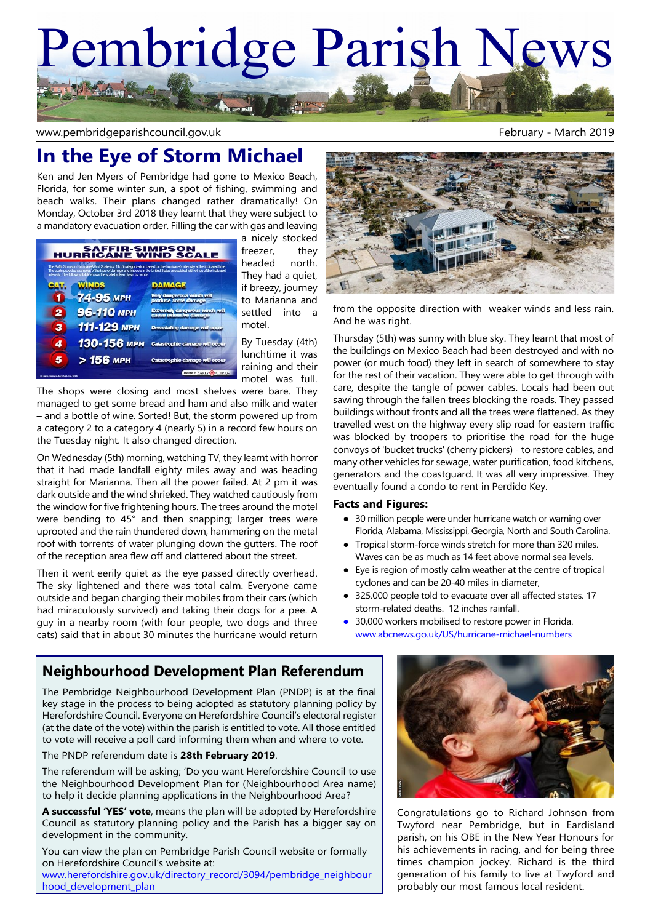# Pembridge Parish News **AS Arthur**

www.pembridgeparishcouncil.gov.uk example and the state of the February - March 2019

## **In the Eye of Storm Michael**

Ken and Jen Myers of Pembridge had gone to Mexico Beach, Florida, for some winter sun, a spot of fishing, swimming and beach walks. Their plans changed rather dramatically! On Monday, October 3rd 2018 they learnt that they were subject to a mandatory evacuation order. Filling the car with gas and leaving

|                                            | <b>SAFFIR-SIMPSON<br/>HURRICANE WIND SCALE</b>                       |                                                                                                                                                                                                                                                      |
|--------------------------------------------|----------------------------------------------------------------------|------------------------------------------------------------------------------------------------------------------------------------------------------------------------------------------------------------------------------------------------------|
|                                            | intensity. The following table shows the scale broken down by winds: | The Safty Simpson Humpane Wind Scale is a 1 to 5 categorization based on the humpane's intensity at the indicated time.<br>The scale provides examples of the type of damage and impacts in the United States associated with winds of the indicated |
|                                            | WINDS                                                                | <b>DAMAGE</b>                                                                                                                                                                                                                                        |
|                                            | 74-95 мрн                                                            | Very dangerous winds will<br>produce some damage                                                                                                                                                                                                     |
| 2                                          | 96-110 мрн                                                           | <b>Extremely dangerous winds will</b><br>cause extensive damage                                                                                                                                                                                      |
| з                                          | 111-129 мрн                                                          | <b>Devastating damage will occur</b>                                                                                                                                                                                                                 |
| 4                                          | 130-156 мен                                                          | Catastrophic damage will occur                                                                                                                                                                                                                       |
| 5                                          | > 156 мрн                                                            | <b>Catastrophic damage will occur</b>                                                                                                                                                                                                                |
| All rights reserved. Enriphical Inc. CDI12 |                                                                      | Designed by EARLY COALERT Inc.                                                                                                                                                                                                                       |

a nicely stocked freezer, they headed north. They had a quiet, if breezy, journey to Marianna and settled into a motel.

By Tuesday (4th) lunchtime it was raining and their motel was full.

The shops were closing and most shelves were bare. They managed to get some bread and ham and also milk and water – and a bottle of wine. Sorted! But, the storm powered up from a category 2 to a category 4 (nearly 5) in a record few hours on the Tuesday night. It also changed direction.

On Wednesday (5th) morning, watching TV, they learnt with horror that it had made landfall eighty miles away and was heading straight for Marianna. Then all the power failed. At 2 pm it was dark outside and the wind shrieked. They watched cautiously from the window for five frightening hours. The trees around the motel were bending to 45° and then snapping; larger trees were uprooted and the rain thundered down, hammering on the metal roof with torrents of water plunging down the gutters. The roof of the reception area flew off and clattered about the street.

Then it went eerily quiet as the eye passed directly overhead. The sky lightened and there was total calm. Everyone came outside and began charging their mobiles from their cars (which had miraculously survived) and taking their dogs for a pee. A guy in a nearby room (with four people, two dogs and three cats) said that in about 30 minutes the hurricane would return



from the opposite direction with weaker winds and less rain. And he was right.

Thursday (5th) was sunny with blue sky. They learnt that most of the buildings on Mexico Beach had been destroyed and with no power (or much food) they left in search of somewhere to stay for the rest of their vacation. They were able to get through with care, despite the tangle of power cables. Locals had been out sawing through the fallen trees blocking the roads. They passed buildings without fronts and all the trees were flattened. As they travelled west on the highway every slip road for eastern traffic was blocked by troopers to prioritise the road for the huge convoys of 'bucket trucks' (cherry pickers) - to restore cables, and many other vehicles for sewage, water purification, food kitchens, generators and the coastguard. It was all very impressive. They eventually found a condo to rent in Perdido Key.

#### **Facts and Figures:**

- 30 million people were under hurricane watch or warning over Florida, Alabama, Mississippi, Georgia, North and South Carolina.
- Tropical storm-force winds stretch for more than 320 miles. Waves can be as much as 14 feet above normal sea levels.
- Eye is region of mostly calm weather at the centre of tropical cyclones and can be 20-40 miles in diameter,
- 325.000 people told to evacuate over all affected states. 17 storm-related deaths. 12 inches rainfall.
- 30,000 workers mobilised to restore power in Florida. www.abcnews.go.uk/US/hurricane-michael-numbers

### **Neighbourhood Development Plan Referendum**

The Pembridge Neighbourhood Development Plan (PNDP) is at the final key stage in the process to being adopted as statutory planning policy by Herefordshire Council. Everyone on Herefordshire Council's electoral register (at the date of the vote) within the parish is entitled to vote. All those entitled to vote will receive a poll card informing them when and where to vote.

#### The PNDP referendum date is **28th February 2019**.

The referendum will be asking; 'Do you want Herefordshire Council to use the Neighbourhood Development Plan for (Neighbourhood Area name) to help it decide planning applications in the Neighbourhood Area?

**A successful 'YES' vote**, means the plan will be adopted by Herefordshire Council as statutory planning policy and the Parish has a bigger say on development in the community.

You can view the plan on Pembridge Parish Council website or formally on Herefordshire Council's website at:

www.herefordshire.gov.uk/directory\_record/3094/pembridge\_neighbour hood\_development\_plan



Congratulations go to Richard Johnson from Twyford near Pembridge, but in Eardisland parish, on his OBE in the New Year Honours for his achievements in racing, and for being three times champion jockey. Richard is the third generation of his family to live at Twyford and probably our most famous local resident.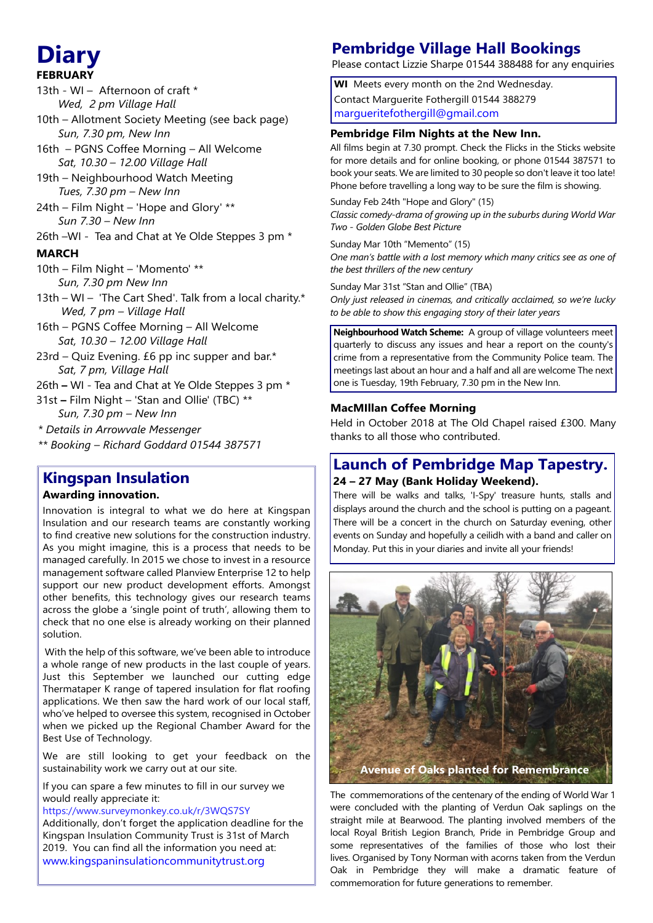# **FEBRUARY**

- 13th WI Afternoon of craft \*  *Wed, 2 pm Village Hall*
- 10th Allotment Society Meeting (see back page)  *Sun, 7.30 pm, New Inn*
- 16th PGNS Coffee Morning All Welcome  *Sat, 10.30 – 12.00 Village Hall*
- 19th Neighbourhood Watch Meeting  *Tues, 7.30 pm – New Inn*
- 24th Film Night 'Hope and Glory' \*\*  *Sun 7.30 – New Inn*
- 26th –WI Tea and Chat at Ye Olde Steppes 3 pm \*

#### **MARCH**

- 10th Film Night 'Momento' \*\*  *Sun, 7.30 pm New Inn*
- 13th WI 'The Cart Shed'. Talk from a local charity.\*  *Wed, 7 pm – Village Hall*
- 16th PGNS Coffee Morning All Welcome  *Sat, 10.30 – 12.00 Village Hall*
- 23rd Quiz Evening.  $£6$  pp inc supper and bar.\*  *Sat, 7 pm, Village Hall*
- 26th **–** WI Tea and Chat at Ye Olde Steppes 3 pm \*
- 31st **–** Film Night 'Stan and Ollie' (TBC) \*\*  *Sun, 7.30 pm – New Inn*
- *\* Details in Arrowvale Messenger*
- *\*\* Booking Richard Goddard 01544 387571*

## **Kingspan Insulation**

#### **Awarding innovation.**

Innovation is integral to what we do here at Kingspan Insulation and our research teams are constantly working to find creative new solutions for the construction industry. As you might imagine, this is a process that needs to be managed carefully. In 2015 we chose to invest in a resource management software called Planview Enterprise 12 to help support our new product development efforts. Amongst other benefits, this technology gives our research teams across the globe a 'single point of truth', allowing them to check that no one else is already working on their planned solution.

 With the help of this software, we've been able to introduce a whole range of new products in the last couple of years. Just this September we launched our cutting edge Thermataper K range of tapered insulation for flat roofing applications. We then saw the hard work of our local staff, who've helped to oversee this system, recognised in October when we picked up the Regional Chamber Award for the Best Use of Technology.

We are still looking to get your feedback on the sustainability work we carry out at our site.

If you can spare a few minutes to fill in our survey we would really appreciate it:

https://www.surveymonkey.co.uk/r/3WQS7SY

Additionally, don't forget the application deadline for the Kingspan Insulation Community Trust is 31st of Ma[r](http://www.kingspaninsulationcommunitytrust.org)ch 2019. You can find all the information you need at: www.kingspaninsulationcommunitytrust.org

## **Diary Pembridge Village Hall Bookings**

Please contact Lizzie Sharpe 01544 388488 for any enquiries

**WI** Meets every month on the 2nd Wednesday. Contact Marguerite Fothergill 01544 388279 margueritefothergill@gmail.com

#### **Pembridge Film Nights at the New Inn.**

All films begin at 7.30 prompt. Check the Flicks in the Sticks website for more details and for online booking, or phone 01544 387571 to book your seats. We are limited to 30 people so don't leave it too late! Phone before travelling a long way to be sure the film is showing.

Sunday Feb 24th "Hope and Glory" (15) *Classic comedy-drama of growing up in the suburbs during World War Two - Golden Globe Best Picture*

Sunday Mar 10th "Memento" (15) *One man's battle with a lost memory which many critics see as one of the best thrillers of the new century*

Sunday Mar 31st "Stan and Ollie" (TBA)

*Only just released in cinemas, and critically acclaimed, so we're lucky to be able to show this engaging story of their later years*

**Neighbourhood Watch Scheme:** A group of village volunteers meet quarterly to discuss any issues and hear a report on the county's crime from a representative from the Community Police team. The meetings last about an hour and a half and all are welcome The next one is Tuesday, 19th February, 7.30 pm in the New Inn.

#### **MacMIllan Coffee Morning**

Held in October 2018 at The Old Chapel raised £300. Many thanks to all those who contributed.

#### **Launch of Pembridge Map Tapestry. 24 – 27 May (Bank Holiday Weekend).**

There will be walks and talks, 'I-Spy' treasure hunts, stalls and displays around the church and the school is putting on a pageant. There will be a concert in the church on Saturday evening, other events on Sunday and hopefully a ceilidh with a band and caller on Monday. Put this in your diaries and invite all your friends!



The commemorations of the centenary of the ending of World War 1 were concluded with the planting of Verdun Oak saplings on the straight mile at Bearwood. The planting involved members of the local Royal British Legion Branch, Pride in Pembridge Group and some representatives of the families of those who lost their lives. Organised by Tony Norman with acorns taken from the Verdun Oak in Pembridge they will make a dramatic feature of commemoration for future generations to remember.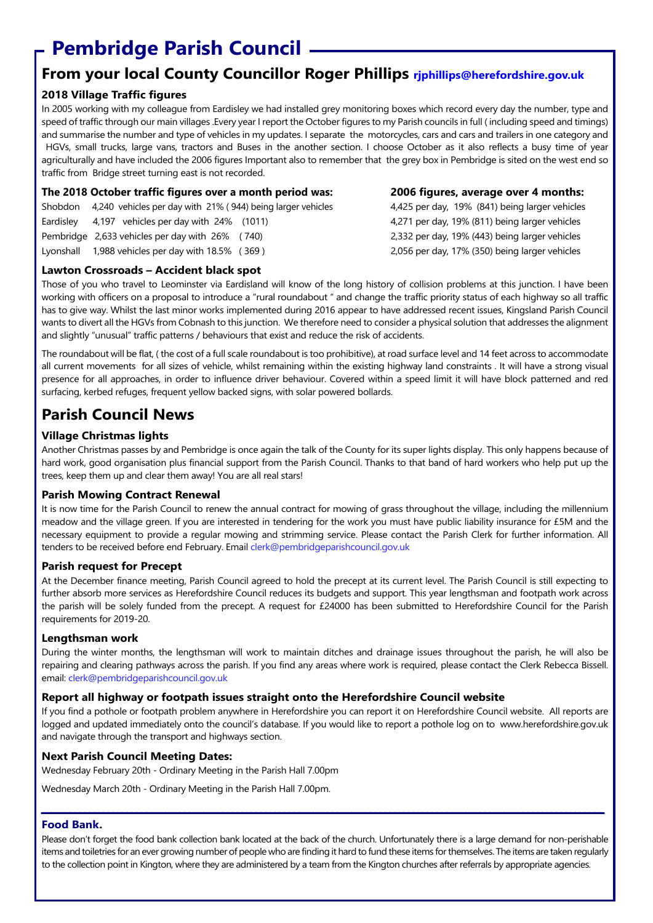## **Pembridge Parish Council**

## **From your local County Councillor Roger Phillips rjphillips@herefordshire.gov.uk**

#### **2018 Village Traffic figures**

In 2005 working with my colleague from Eardisley we had installed grey monitoring boxes which record every day the number, type and speed of traffic through our main villages .Every year I report the October figures to my Parish councils in full ( including speed and timings) and summarise the number and type of vehicles in my updates. I separate the motorcycles, cars and cars and trailers in one category and HGVs, small trucks, large vans, tractors and Buses in the another section. I choose October as it also reflects a busy time of year agriculturally and have included the 2006 figures Important also to remember that the grey box in Pembridge is sited on the west end so traffic from Bridge street turning east is not recorded.

| The 2018 October traffic figures over a month period was:           |
|---------------------------------------------------------------------|
| Shobdon 4,240 vehicles per day with 21% (944) being larger vehicles |
| Eardisley $4.197$ vehicles per day with 24% (1011)                  |
| Pembridge 2,633 vehicles per day with 26% (740)                     |
| Lyonshall 1.988 vehicles per day with 18.5% (369)                   |

#### **Lawton Crossroads – Accident black spot**

Those of you who travel to Leominster via Eardisland will know of the long history of collision problems at this junction. I have been working with officers on a proposal to introduce a "rural roundabout " and change the traffic priority status of each highway so all traffic has to give way. Whilst the last minor works implemented during 2016 appear to have addressed recent issues, Kingsland Parish Council wants to divert all the HGVs from Cobnash to this junction. We therefore need to consider a physical solution that addresses the alignment and slightly "unusual" traffic patterns / behaviours that exist and reduce the risk of accidents.

The roundabout will be flat, ( the cost of a full scale roundabout is too prohibitive), at road surface level and 14 feet across to accommodate all current movements for all sizes of vehicle, whilst remaining within the existing highway land constraints . It will have a strong visual presence for all approaches, in order to influence driver behaviour. Covered within a speed limit it will have block patterned and red surfacing, kerbed refuges, frequent yellow backed signs, with solar powered bollards.

## **Parish Council News**

#### **Village Christmas lights**

Another Christmas passes by and Pembridge is once again the talk of the County for its super lights display. This only happens because of hard work, good organisation plus financial support from the Parish Council. Thanks to that band of hard workers who help put up the trees, keep them up and clear them away! You are all real stars!

#### **Parish Mowing Contract Renewal**

It is now time for the Parish Council to renew the annual contract for mowing of grass throughout the village, including the millennium meadow and the village green. If you are interested in tendering for the work you must have public liability insurance for £5M and the necessary equipment to provide a regular mowing and strimming service. Please contact the Parish Clerk for further information. All tenders to be received before end February. Email clerk@pembridgeparishcouncil.gov.uk

#### **Parish request for Precept**

At the December finance meeting, Parish Council agreed to hold the precept at its current level. The Parish Council is still expecting to further absorb more services as Herefordshire Council reduces its budgets and support. This year lengthsman and footpath work across the parish will be solely funded from the precept. A request for £24000 has been submitted to Herefordshire Council for the Parish requirements for 2019-20.

#### **Lengthsman work**

During the winter months, the lengthsman will work to maintain ditches and drainage issues throughout the parish, he will also be repairing and clearing pathways across the parish. If you find any areas where work is required, please contact the Clerk Rebecca Bissell. email: clerk@pembridgeparishcouncil.gov.uk

#### **Report all highway or footpath issues straight onto the Herefordshire Council website**

If you find a pothole or footpath problem anywhere in Herefordshire you can report it on Herefordshire Council website. All reports are logged and updated immediately onto the council's database. If you would like to report a pothole log on to www.herefordshire.gov.uk and navigate through the transport and highways section.

#### **Next Parish Council Meeting Dates:**

Wednesday February 20th - Ordinary Meeting in the Parish Hall 7.00pm

Wednesday March 20th - Ordinary Meeting in the Parish Hall 7.00pm.

#### **Food Bank.**

Please don't forget the food bank collection bank located at the back of the church. Unfortunately there is a large demand for non-perishable items and toiletries for an ever growing number of people who are finding it hard to fund these items for themselves. The items are taken regularly to the collection point in Kington, where they are administered by a team from the Kington churches after referrals by appropriate agencies.

**\_\_\_\_\_\_\_\_\_\_\_\_\_\_\_\_\_\_\_\_\_\_\_\_\_\_\_\_\_\_\_\_\_\_\_\_\_\_\_\_\_\_\_\_\_\_\_\_\_\_\_\_\_\_\_\_\_\_\_\_\_\_\_\_\_\_\_\_\_\_\_\_\_\_\_\_\_\_\_\_\_\_\_\_\_\_\_\_\_\_\_\_\_\_\_\_\_\_\_\_\_\_\_\_\_\_\_\_\_\_\_\_\_\_\_\_\_\_**

**The 2018 October traffic figures over a month period was: 2006 figures, average over 4 months:** 4,425 per day, 19% (841) being larger vehicles 4,271 per day, 19% (811) being larger vehicles 2,332 per day, 19% (443) being larger vehicles Lyonshall 1,988 vehicles per day with 18.5% ( 369 ) 2,056 per day, 17% (350) being larger vehicles